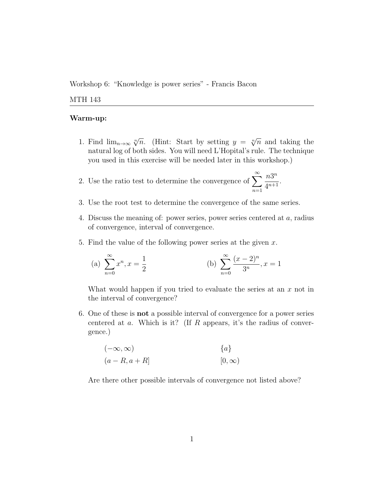Workshop 6: "Knowledge is power series" - Francis Bacon

## MTH 143

## Warm-up:

- 1. Find  $\lim_{n\to\infty} \sqrt[n]{n}$ . (Hint: Start by setting  $y = \sqrt[n]{n}$  and taking the natural log of both sides. You will need L'Hopital's rule. The technique you used in this exercise will be needed later in this workshop.)
- 2. Use the ratio test to determine the convergence of  $\sum_{n=0}^{\infty}$  $n=1$  $n3^n$  $\frac{n5}{4^{n+1}}$ .
- 3. Use the root test to determine the convergence of the same series.
- 4. Discuss the meaning of: power series, power series centered at a, radius of convergence, interval of convergence.
- 5. Find the value of the following power series at the given  $x$ .

(a) 
$$
\sum_{n=0}^{\infty} x^n, x = \frac{1}{2}
$$
 (b)  $\sum_{n=0}^{\infty} \frac{(x-2)^n}{3^n}, x = 1$ 

What would happen if you tried to evaluate the series at an  $x$  not in the interval of convergence?

6. One of these is not a possible interval of convergence for a power series centered at  $a$ . Which is it? (If  $R$  appears, it's the radius of convergence.)

$$
(-\infty, \infty)
$$
  
\n
$$
(a - R, a + R]
$$
  
\n
$$
[0, \infty)
$$

Are there other possible intervals of convergence not listed above?